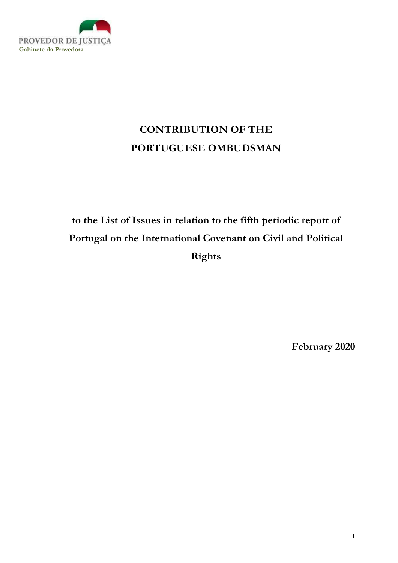

# CONTRIBUTION OF THE PORTUGUESE OMBUDSMAN

# to the List of Issues in relation to the fifth periodic report of Portugal on the International Covenant on Civil and Political Rights

February 2020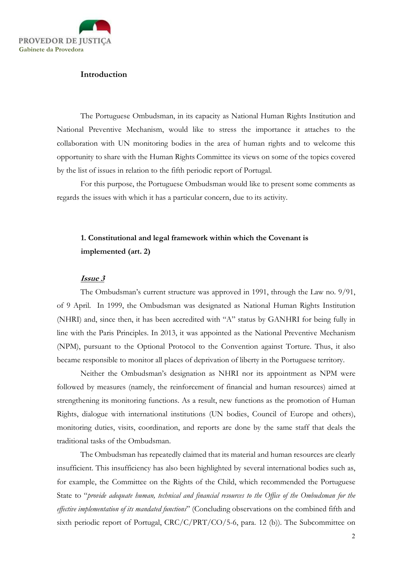

## Introduction

The Portuguese Ombudsman, in its capacity as National Human Rights Institution and National Preventive Mechanism, would like to stress the importance it attaches to the collaboration with UN monitoring bodies in the area of human rights and to welcome this opportunity to share with the Human Rights Committee its views on some of the topics covered by the list of issues in relation to the fifth periodic report of Portugal.

For this purpose, the Portuguese Ombudsman would like to present some comments as regards the issues with which it has a particular concern, due to its activity.

# 1. Constitutional and legal framework within which the Covenant is implemented (art. 2)

#### Issue 3

The Ombudsman's current structure was approved in 1991, through the Law no. 9/91, of 9 April. In 1999, the Ombudsman was designated as National Human Rights Institution (NHRI) and, since then, it has been accredited with "A" status by GANHRI for being fully in line with the Paris Principles. In 2013, it was appointed as the National Preventive Mechanism (NPM), pursuant to the Optional Protocol to the Convention against Torture. Thus, it also became responsible to monitor all places of deprivation of liberty in the Portuguese territory.

Neither the Ombudsman's designation as NHRI nor its appointment as NPM were followed by measures (namely, the reinforcement of financial and human resources) aimed at strengthening its monitoring functions. As a result, new functions as the promotion of Human Rights, dialogue with international institutions (UN bodies, Council of Europe and others), monitoring duties, visits, coordination, and reports are done by the same staff that deals the traditional tasks of the Ombudsman.

The Ombudsman has repeatedly claimed that its material and human resources are clearly insufficient. This insufficiency has also been highlighted by several international bodies such as, for example, the Committee on the Rights of the Child, which recommended the Portuguese State to "provide adequate human, technical and financial resources to the Office of the Ombudsman for the effective implementation of its mandated functions" (Concluding observations on the combined fifth and sixth periodic report of Portugal, CRC/C/PRT/CO/5-6, para. 12 (b)). The Subcommittee on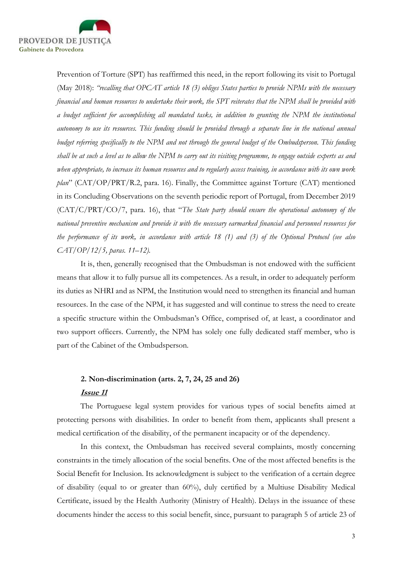

Prevention of Torture (SPT) has reaffirmed this need, in the report following its visit to Portugal (May 2018): "recalling that OPCAT article 18 (3) obliges States parties to provide NPMs with the necessary financial and human resources to undertake their work, the SPT reiterates that the NPM shall be provided with a budget sufficient for accomplishing all mandated tasks, in addition to granting the NPM the institutional autonomy to use its resources. This funding should be provided through a separate line in the national annual budget referring specifically to the NPM and not through the general budget of the Ombudsperson. This funding shall be at such a level as to allow the NPM to carry out its visiting programme, to engage outside experts as and when appropriate, to increase its human resources and to regularly access training, in accordance with its own work plan" (CAT/OP/PRT/R.2, para. 16). Finally, the Committee against Torture (CAT) mentioned in its Concluding Observations on the seventh periodic report of Portugal, from December 2019 (CAT/C/PRT/CO/7, para. 16), that "The State party should ensure the operational autonomy of the national preventive mechanism and provide it with the necessary earmarked financial and personnel resources for the performance of its work, in accordance with article 18 (1) and (3) of the Optional Protocol (see also CAT/OP/12/5, paras. 11–12).

It is, then, generally recognised that the Ombudsman is not endowed with the sufficient means that allow it to fully pursue all its competences. As a result, in order to adequately perform its duties as NHRI and as NPM, the Institution would need to strengthen its financial and human resources. In the case of the NPM, it has suggested and will continue to stress the need to create a specific structure within the Ombudsman's Office, comprised of, at least, a coordinator and two support officers. Currently, the NPM has solely one fully dedicated staff member, who is part of the Cabinet of the Ombudsperson.

# 2. Non-discrimination (arts. 2, 7, 24, 25 and 26) Issue 11

The Portuguese legal system provides for various types of social benefits aimed at protecting persons with disabilities. In order to benefit from them, applicants shall present a medical certification of the disability, of the permanent incapacity or of the dependency.

In this context, the Ombudsman has received several complaints, mostly concerning constraints in the timely allocation of the social benefits. One of the most affected benefits is the Social Benefit for Inclusion. Its acknowledgment is subject to the verification of a certain degree of disability (equal to or greater than 60%), duly certified by a Multiuse Disability Medical Certificate, issued by the Health Authority (Ministry of Health). Delays in the issuance of these documents hinder the access to this social benefit, since, pursuant to paragraph 5 of article 23 of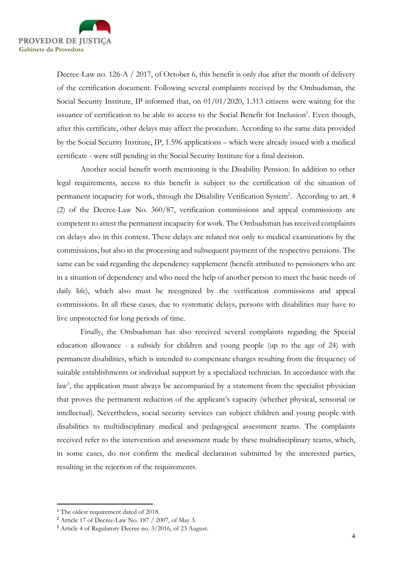

Decree-Law no. 126-A / 2017, of October 6, this benefit is only due after the month of delivery of the certification document. Following several complaints received by the Ombudsman, the Social Security Institute, IP informed that, on 01/01/2020, 1.313 citizens were waiting for the issuance of certification to be able to access to the Social Benefit for Inclusion<sup>1</sup>. Even though, after this certificate, other delays may affect the procedure. According to the same data provided by the Social Security Institute, IP, 1.596 applications – which were already issued with a medical certificate - were still pending in the Social Security Institute for a final decision.

Another social benefit worth mentioning is the Disability Pension. In addition to other legal requirements, access to this benefit is subject to the certification of the situation of permanent incapacity for work, through the Disability Verification System<sup>2</sup>. According to art. 4 (2) of the Decree-Law No. 360/87, verification commissions and appeal commissions are competent to attest the permanent incapacity for work. The Ombudsman has received complaints on delays also in this context. These delays are related not only to medical examinations by the commissions, but also in the processing and subsequent payment of the respective pensions. The same can be said regarding the dependency supplement (benefit attributed to pensioners who are in a situation of dependency and who need the help of another person to meet the basic needs of daily life), which also must be recognized by the verification commissions and appeal commissions. In all these cases, due to systematic delays, persons with disabilities may have to live unprotected for long periods of time.

Finally, the Ombudsman has also received several complaints regarding the Special education allowance - a subsidy for children and young people (up to the age of 24) with permanent disabilities, which is intended to compensate charges resulting from the frequency of suitable establishments or individual support by a specialized technician. In accordance with the law<sup>3</sup>, the application must always be accompanied by a statement from the specialist physician that proves the permanent reduction of the applicant's capacity (whether physical, sensorial or intellectual). Nevertheless, social security services can subject children and young people with disabilities to multidisciplinary medical and pedagogical assessment teams. The complaints received refer to the intervention and assessment made by these multidisciplinary teams, which, in some cases, do not confirm the medical declaration submitted by the interested parties, resulting in the rejection of the requirements.

<sup>&</sup>lt;sup>1</sup> The oldest requirement dated of 2018.

<sup>&</sup>lt;sup>2</sup> Article 17 of Decree-Law No. 187 / 2007, of May 3.

<sup>&</sup>lt;sup>3</sup> Article 4 of Regulatory Decree no. 3/2016, of 23 August.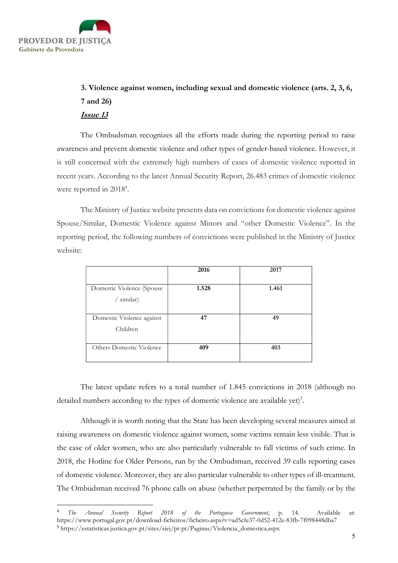

# 3. Violence against women, including sexual and domestic violence (arts. 2, 3, 6, 7 and 26) Issue 13

The Ombudsman recognizes all the efforts made during the reporting period to raise awareness and prevent domestic violence and other types of gender-based violence. However, it is still concerned with the extremely high numbers of cases of domestic violence reported in recent years. According to the latest Annual Security Report, 26.483 crimes of domestic violence were reported in 2018<sup>4</sup>.

The Ministry of Justice website presents data on convictions for domestic violence against Spouse/Similar, Domestic Violence against Minors and "other Domestic Violence". In the reporting period, the following numbers of convictions were published in the Ministry of Justice website:

|                                        | 2016  | 2017  |
|----------------------------------------|-------|-------|
| Domestic Violence (Spouse)<br>similar) | 1.528 | 1.461 |
| Domestic Violence against<br>Children  | 47    | 49    |
| Others Domestic Violence               | 409   | 403   |

The latest update refers to a total number of 1.845 convictions in 2018 (although no detailed numbers according to the types of domestic violence are available yet)<sup>5</sup>.

Although it is worth noting that the State has been developing several measures aimed at raising awareness on domestic violence against women, some victims remain less visible. That is the case of older women, who are also particularly vulnerable to fall victims of such crime. In 2018, the Hotline for Older Persons, run by the Ombudsman, received 39 calls reporting cases of domestic violence. Moreover, they are also particular vulnerable to other types of ill-treatment. The Ombudsman received 76 phone calls on abuse (whether perpetrated by the family or by the

The Annual Security Report 2018 of the Portuguese Government, p. 14. Available at: https://www.portugal.gov.pt/download-ficheiros/ficheiro.aspx?v=ad5cfe37-0d52-412e-83fb-7f098448dba7 <sup>5</sup> https://estatisticas.justica.gov.pt/sites/siej/pt-pt/Paginas/Violencia\_domestica.aspx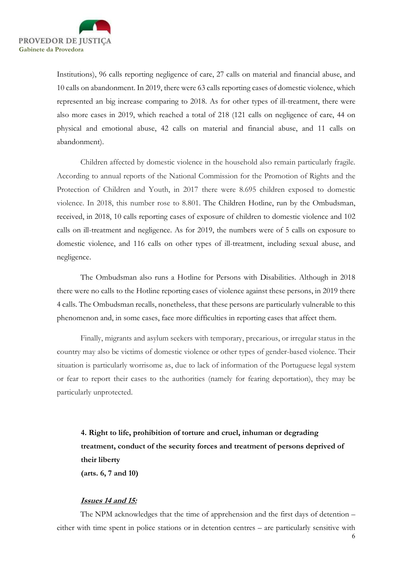

Institutions), 96 calls reporting negligence of care, 27 calls on material and financial abuse, and 10 calls on abandonment. In 2019, there were 63 calls reporting cases of domestic violence, which represented an big increase comparing to 2018. As for other types of ill-treatment, there were also more cases in 2019, which reached a total of 218 (121 calls on negligence of care, 44 on physical and emotional abuse, 42 calls on material and financial abuse, and 11 calls on abandonment).

Children affected by domestic violence in the household also remain particularly fragile. According to annual reports of the National Commission for the Promotion of Rights and the Protection of Children and Youth, in 2017 there were 8.695 children exposed to domestic violence. In 2018, this number rose to 8.801. The Children Hotline, run by the Ombudsman, received, in 2018, 10 calls reporting cases of exposure of children to domestic violence and 102 calls on ill-treatment and negligence. As for 2019, the numbers were of 5 calls on exposure to domestic violence, and 116 calls on other types of ill-treatment, including sexual abuse, and negligence.

The Ombudsman also runs a Hotline for Persons with Disabilities. Although in 2018 there were no calls to the Hotline reporting cases of violence against these persons, in 2019 there 4 calls. The Ombudsman recalls, nonetheless, that these persons are particularly vulnerable to this phenomenon and, in some cases, face more difficulties in reporting cases that affect them.

Finally, migrants and asylum seekers with temporary, precarious, or irregular status in the country may also be victims of domestic violence or other types of gender-based violence. Their situation is particularly worrisome as, due to lack of information of the Portuguese legal system or fear to report their cases to the authorities (namely for fearing deportation), they may be particularly unprotected.

4. Right to life, prohibition of torture and cruel, inhuman or degrading treatment, conduct of the security forces and treatment of persons deprived of their liberty (arts. 6, 7 and 10)

# Issues 14 and 15:

The NPM acknowledges that the time of apprehension and the first days of detention – either with time spent in police stations or in detention centres – are particularly sensitive with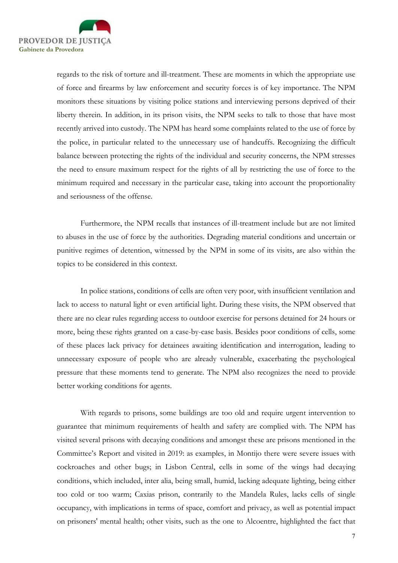

regards to the risk of torture and ill-treatment. These are moments in which the appropriate use of force and firearms by law enforcement and security forces is of key importance. The NPM monitors these situations by visiting police stations and interviewing persons deprived of their liberty therein. In addition, in its prison visits, the NPM seeks to talk to those that have most recently arrived into custody. The NPM has heard some complaints related to the use of force by the police, in particular related to the unnecessary use of handcuffs. Recognizing the difficult balance between protecting the rights of the individual and security concerns, the NPM stresses the need to ensure maximum respect for the rights of all by restricting the use of force to the minimum required and necessary in the particular case, taking into account the proportionality and seriousness of the offense.

Furthermore, the NPM recalls that instances of ill-treatment include but are not limited to abuses in the use of force by the authorities. Degrading material conditions and uncertain or punitive regimes of detention, witnessed by the NPM in some of its visits, are also within the topics to be considered in this context.

In police stations, conditions of cells are often very poor, with insufficient ventilation and lack to access to natural light or even artificial light. During these visits, the NPM observed that there are no clear rules regarding access to outdoor exercise for persons detained for 24 hours or more, being these rights granted on a case-by-case basis. Besides poor conditions of cells, some of these places lack privacy for detainees awaiting identification and interrogation, leading to unnecessary exposure of people who are already vulnerable, exacerbating the psychological pressure that these moments tend to generate. The NPM also recognizes the need to provide better working conditions for agents.

With regards to prisons, some buildings are too old and require urgent intervention to guarantee that minimum requirements of health and safety are complied with. The NPM has visited several prisons with decaying conditions and amongst these are prisons mentioned in the Committee's Report and visited in 2019: as examples, in Montijo there were severe issues with cockroaches and other bugs; in Lisbon Central, cells in some of the wings had decaying conditions, which included, inter alia, being small, humid, lacking adequate lighting, being either too cold or too warm; Caxias prison, contrarily to the Mandela Rules, lacks cells of single occupancy, with implications in terms of space, comfort and privacy, as well as potential impact on prisoners' mental health; other visits, such as the one to Alcoentre, highlighted the fact that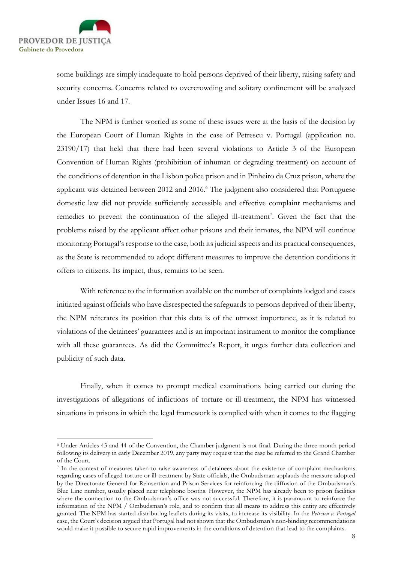

some buildings are simply inadequate to hold persons deprived of their liberty, raising safety and security concerns. Concerns related to overcrowding and solitary confinement will be analyzed under Issues 16 and 17.

The NPM is further worried as some of these issues were at the basis of the decision by the European Court of Human Rights in the case of Petrescu v. Portugal (application no. 23190/17) that held that there had been several violations to Article 3 of the European Convention of Human Rights (prohibition of inhuman or degrading treatment) on account of the conditions of detention in the Lisbon police prison and in Pinheiro da Cruz prison, where the applicant was detained between 2012 and 2016.<sup>6</sup> The judgment also considered that Portuguese domestic law did not provide sufficiently accessible and effective complaint mechanisms and remedies to prevent the continuation of the alleged ill-treatment<sup>7</sup>. Given the fact that the problems raised by the applicant affect other prisons and their inmates, the NPM will continue monitoring Portugal's response to the case, both its judicial aspects and its practical consequences, as the State is recommended to adopt different measures to improve the detention conditions it offers to citizens. Its impact, thus, remains to be seen.

 With reference to the information available on the number of complaints lodged and cases initiated against officials who have disrespected the safeguards to persons deprived of their liberty, the NPM reiterates its position that this data is of the utmost importance, as it is related to violations of the detainees' guarantees and is an important instrument to monitor the compliance with all these guarantees. As did the Committee's Report, it urges further data collection and publicity of such data.

 Finally, when it comes to prompt medical examinations being carried out during the investigations of allegations of inflictions of torture or ill-treatment, the NPM has witnessed situations in prisons in which the legal framework is complied with when it comes to the flagging

<sup>6</sup> Under Articles 43 and 44 of the Convention, the Chamber judgment is not final. During the three-month period following its delivery in early December 2019, any party may request that the case be referred to the Grand Chamber of the Court.

<sup>7</sup> In the context of measures taken to raise awareness of detainees about the existence of complaint mechanisms regarding cases of alleged torture or ill-treatment by State officials, the Ombudsman applauds the measure adopted by the Directorate-General for Reinsertion and Prison Services for reinforcing the diffusion of the Ombudsman's Blue Line number, usually placed near telephone booths. However, the NPM has already been to prison facilities where the connection to the Ombudsman's office was not successful. Therefore, it is paramount to reinforce the information of the NPM / Ombudsman's role, and to confirm that all means to address this entity are effectively granted. The NPM has started distributing leaflets during its visits, to increase its visibility. In the Petrescu v. Portugal case, the Court's decision argued that Portugal had not shown that the Ombudsman's non-binding recommendations would make it possible to secure rapid improvements in the conditions of detention that lead to the complaints.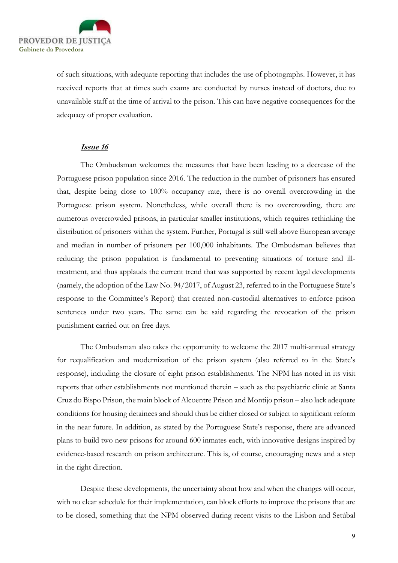

of such situations, with adequate reporting that includes the use of photographs. However, it has received reports that at times such exams are conducted by nurses instead of doctors, due to unavailable staff at the time of arrival to the prison. This can have negative consequences for the adequacy of proper evaluation.

## Issue 16

The Ombudsman welcomes the measures that have been leading to a decrease of the Portuguese prison population since 2016. The reduction in the number of prisoners has ensured that, despite being close to 100% occupancy rate, there is no overall overcrowding in the Portuguese prison system. Nonetheless, while overall there is no overcrowding, there are numerous overcrowded prisons, in particular smaller institutions, which requires rethinking the distribution of prisoners within the system. Further, Portugal is still well above European average and median in number of prisoners per 100,000 inhabitants. The Ombudsman believes that reducing the prison population is fundamental to preventing situations of torture and illtreatment, and thus applauds the current trend that was supported by recent legal developments (namely, the adoption of the Law No. 94/2017, of August 23, referred to in the Portuguese State's response to the Committee's Report) that created non-custodial alternatives to enforce prison sentences under two years. The same can be said regarding the revocation of the prison punishment carried out on free days.

The Ombudsman also takes the opportunity to welcome the 2017 multi-annual strategy for requalification and modernization of the prison system (also referred to in the State's response), including the closure of eight prison establishments. The NPM has noted in its visit reports that other establishments not mentioned therein – such as the psychiatric clinic at Santa Cruz do Bispo Prison, the main block of Alcoentre Prison and Montijo prison – also lack adequate conditions for housing detainees and should thus be either closed or subject to significant reform in the near future. In addition, as stated by the Portuguese State's response, there are advanced plans to build two new prisons for around 600 inmates each, with innovative designs inspired by evidence-based research on prison architecture. This is, of course, encouraging news and a step in the right direction.

Despite these developments, the uncertainty about how and when the changes will occur, with no clear schedule for their implementation, can block efforts to improve the prisons that are to be closed, something that the NPM observed during recent visits to the Lisbon and Setúbal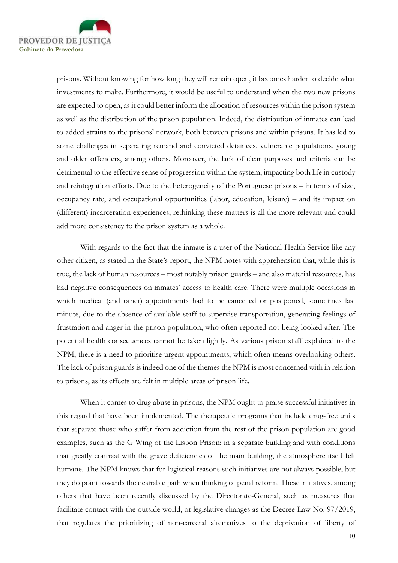

prisons. Without knowing for how long they will remain open, it becomes harder to decide what investments to make. Furthermore, it would be useful to understand when the two new prisons are expected to open, as it could better inform the allocation of resources within the prison system as well as the distribution of the prison population. Indeed, the distribution of inmates can lead to added strains to the prisons' network, both between prisons and within prisons. It has led to some challenges in separating remand and convicted detainees, vulnerable populations, young and older offenders, among others. Moreover, the lack of clear purposes and criteria can be detrimental to the effective sense of progression within the system, impacting both life in custody and reintegration efforts. Due to the heterogeneity of the Portuguese prisons – in terms of size, occupancy rate, and occupational opportunities (labor, education, leisure) – and its impact on (different) incarceration experiences, rethinking these matters is all the more relevant and could add more consistency to the prison system as a whole.

With regards to the fact that the inmate is a user of the National Health Service like any other citizen, as stated in the State's report, the NPM notes with apprehension that, while this is true, the lack of human resources – most notably prison guards – and also material resources, has had negative consequences on inmates' access to health care. There were multiple occasions in which medical (and other) appointments had to be cancelled or postponed, sometimes last minute, due to the absence of available staff to supervise transportation, generating feelings of frustration and anger in the prison population, who often reported not being looked after. The potential health consequences cannot be taken lightly. As various prison staff explained to the NPM, there is a need to prioritise urgent appointments, which often means overlooking others. The lack of prison guards is indeed one of the themes the NPM is most concerned with in relation to prisons, as its effects are felt in multiple areas of prison life.

When it comes to drug abuse in prisons, the NPM ought to praise successful initiatives in this regard that have been implemented. The therapeutic programs that include drug-free units that separate those who suffer from addiction from the rest of the prison population are good examples, such as the G Wing of the Lisbon Prison: in a separate building and with conditions that greatly contrast with the grave deficiencies of the main building, the atmosphere itself felt humane. The NPM knows that for logistical reasons such initiatives are not always possible, but they do point towards the desirable path when thinking of penal reform. These initiatives, among others that have been recently discussed by the Directorate-General, such as measures that facilitate contact with the outside world, or legislative changes as the Decree-Law No. 97/2019, that regulates the prioritizing of non-carceral alternatives to the deprivation of liberty of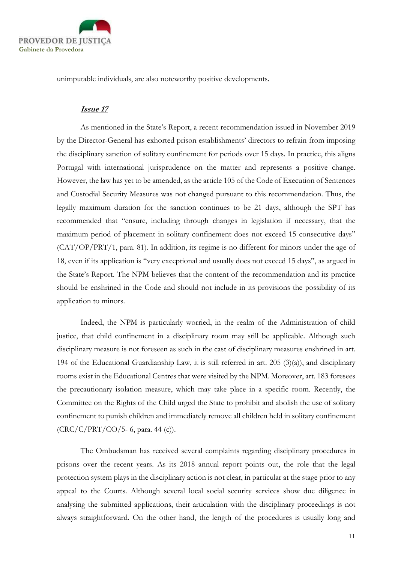

unimputable individuals, are also noteworthy positive developments.

#### Issue 17

As mentioned in the State's Report, a recent recommendation issued in November 2019 by the Director-General has exhorted prison establishments' directors to refrain from imposing the disciplinary sanction of solitary confinement for periods over 15 days. In practice, this aligns Portugal with international jurisprudence on the matter and represents a positive change. However, the law has yet to be amended, as the article 105 of the Code of Execution of Sentences and Custodial Security Measures was not changed pursuant to this recommendation. Thus, the legally maximum duration for the sanction continues to be 21 days, although the SPT has recommended that "ensure, including through changes in legislation if necessary, that the maximum period of placement in solitary confinement does not exceed 15 consecutive days" (CAT/OP/PRT/1, para. 81). In addition, its regime is no different for minors under the age of 18, even if its application is "very exceptional and usually does not exceed 15 days", as argued in the State's Report. The NPM believes that the content of the recommendation and its practice should be enshrined in the Code and should not include in its provisions the possibility of its application to minors.

Indeed, the NPM is particularly worried, in the realm of the Administration of child justice, that child confinement in a disciplinary room may still be applicable. Although such disciplinary measure is not foreseen as such in the cast of disciplinary measures enshrined in art. 194 of the Educational Guardianship Law, it is still referred in art. 205 (3)(a)), and disciplinary rooms exist in the Educational Centres that were visited by the NPM. Moreover, art. 183 foresees the precautionary isolation measure, which may take place in a specific room. Recently, the Committee on the Rights of the Child urged the State to prohibit and abolish the use of solitary confinement to punish children and immediately remove all children held in solitary confinement (CRC/C/PRT/CO/5- 6, para. 44 (c)).

The Ombudsman has received several complaints regarding disciplinary procedures in prisons over the recent years. As its 2018 annual report points out, the role that the legal protection system plays in the disciplinary action is not clear, in particular at the stage prior to any appeal to the Courts. Although several local social security services show due diligence in analysing the submitted applications, their articulation with the disciplinary proceedings is not always straightforward. On the other hand, the length of the procedures is usually long and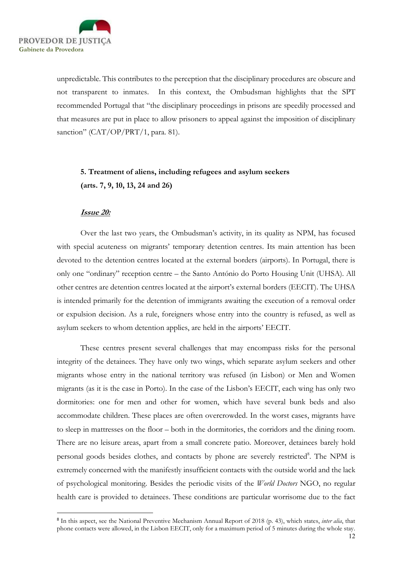

unpredictable. This contributes to the perception that the disciplinary procedures are obscure and not transparent to inmates. In this context, the Ombudsman highlights that the SPT recommended Portugal that "the disciplinary proceedings in prisons are speedily processed and that measures are put in place to allow prisoners to appeal against the imposition of disciplinary sanction" (CAT/OP/PRT/1, para. 81).

# 5. Treatment of aliens, including refugees and asylum seekers (arts. 7, 9, 10, 13, 24 and 26)

## Issue 20:

Over the last two years, the Ombudsman's activity, in its quality as NPM, has focused with special acuteness on migrants' temporary detention centres. Its main attention has been devoted to the detention centres located at the external borders (airports). In Portugal, there is only one "ordinary" reception centre – the Santo António do Porto Housing Unit (UHSA). All other centres are detention centres located at the airport's external borders (EECIT). The UHSA is intended primarily for the detention of immigrants awaiting the execution of a removal order or expulsion decision. As a rule, foreigners whose entry into the country is refused, as well as asylum seekers to whom detention applies, are held in the airports' EECIT.

These centres present several challenges that may encompass risks for the personal integrity of the detainees. They have only two wings, which separate asylum seekers and other migrants whose entry in the national territory was refused (in Lisbon) or Men and Women migrants (as it is the case in Porto). In the case of the Lisbon's EECIT, each wing has only two dormitories: one for men and other for women, which have several bunk beds and also accommodate children. These places are often overcrowded. In the worst cases, migrants have to sleep in mattresses on the floor – both in the dormitories, the corridors and the dining room. There are no leisure areas, apart from a small concrete patio. Moreover, detainees barely hold personal goods besides clothes, and contacts by phone are severely restricted<sup>8</sup>. The NPM is extremely concerned with the manifestly insufficient contacts with the outside world and the lack of psychological monitoring. Besides the periodic visits of the *World Doctors* NGO, no regular health care is provided to detainees. These conditions are particular worrisome due to the fact

<sup>&</sup>lt;sup>8</sup> In this aspect, see the National Preventive Mechanism Annual Report of 2018 (p. 43), which states, *inter alia*, that phone contacts were allowed, in the Lisbon EECIT, only for a maximum period of 5 minutes during the whole stay.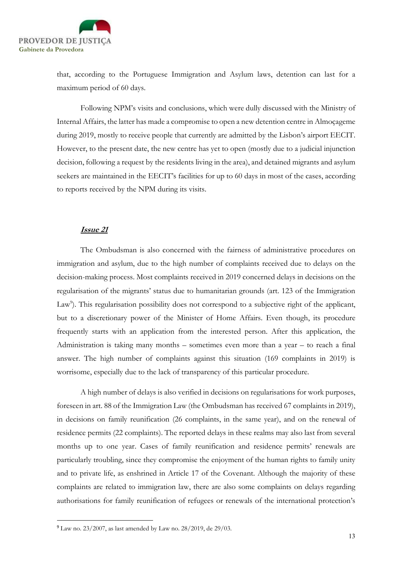

that, according to the Portuguese Immigration and Asylum laws, detention can last for a maximum period of 60 days.

Following NPM's visits and conclusions, which were dully discussed with the Ministry of Internal Affairs, the latter has made a compromise to open a new detention centre in Almoçageme during 2019, mostly to receive people that currently are admitted by the Lisbon's airport EECIT. However, to the present date, the new centre has yet to open (mostly due to a judicial injunction decision, following a request by the residents living in the area), and detained migrants and asylum seekers are maintained in the EECIT's facilities for up to 60 days in most of the cases, according to reports received by the NPM during its visits.

### Issue 21

The Ombudsman is also concerned with the fairness of administrative procedures on immigration and asylum, due to the high number of complaints received due to delays on the decision-making process. Most complaints received in 2019 concerned delays in decisions on the regularisation of the migrants' status due to humanitarian grounds (art. 123 of the Immigration Law<sup>9</sup>). This regularisation possibility does not correspond to a subjective right of the applicant, but to a discretionary power of the Minister of Home Affairs. Even though, its procedure frequently starts with an application from the interested person. After this application, the Administration is taking many months – sometimes even more than a year – to reach a final answer. The high number of complaints against this situation (169 complaints in 2019) is worrisome, especially due to the lack of transparency of this particular procedure.

A high number of delays is also verified in decisions on regularisations for work purposes, foreseen in art. 88 of the Immigration Law (the Ombudsman has received 67 complaints in 2019), in decisions on family reunification (26 complaints, in the same year), and on the renewal of residence permits (22 complaints). The reported delays in these realms may also last from several months up to one year. Cases of family reunification and residence permits' renewals are particularly troubling, since they compromise the enjoyment of the human rights to family unity and to private life, as enshrined in Article 17 of the Covenant. Although the majority of these complaints are related to immigration law, there are also some complaints on delays regarding authorisations for family reunification of refugees or renewals of the international protection's

<sup>9</sup> Law no. 23/2007, as last amended by Law no. 28/2019, de 29/03.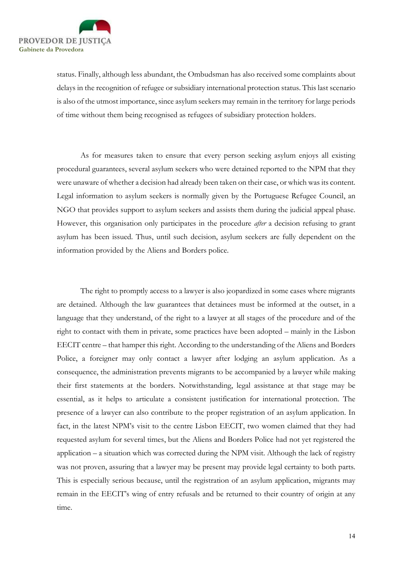

status. Finally, although less abundant, the Ombudsman has also received some complaints about delays in the recognition of refugee or subsidiary international protection status. This last scenario is also of the utmost importance, since asylum seekers may remain in the territory for large periods of time without them being recognised as refugees of subsidiary protection holders.

As for measures taken to ensure that every person seeking asylum enjoys all existing procedural guarantees, several asylum seekers who were detained reported to the NPM that they were unaware of whether a decision had already been taken on their case, or which was its content. Legal information to asylum seekers is normally given by the Portuguese Refugee Council, an NGO that provides support to asylum seekers and assists them during the judicial appeal phase. However, this organisation only participates in the procedure *after* a decision refusing to grant asylum has been issued. Thus, until such decision, asylum seekers are fully dependent on the information provided by the Aliens and Borders police.

The right to promptly access to a lawyer is also jeopardized in some cases where migrants are detained. Although the law guarantees that detainees must be informed at the outset, in a language that they understand, of the right to a lawyer at all stages of the procedure and of the right to contact with them in private, some practices have been adopted – mainly in the Lisbon EECIT centre – that hamper this right. According to the understanding of the Aliens and Borders Police, a foreigner may only contact a lawyer after lodging an asylum application. As a consequence, the administration prevents migrants to be accompanied by a lawyer while making their first statements at the borders. Notwithstanding, legal assistance at that stage may be essential, as it helps to articulate a consistent justification for international protection. The presence of a lawyer can also contribute to the proper registration of an asylum application. In fact, in the latest NPM's visit to the centre Lisbon EECIT, two women claimed that they had requested asylum for several times, but the Aliens and Borders Police had not yet registered the application – a situation which was corrected during the NPM visit. Although the lack of registry was not proven, assuring that a lawyer may be present may provide legal certainty to both parts. This is especially serious because, until the registration of an asylum application, migrants may remain in the EECIT's wing of entry refusals and be returned to their country of origin at any time.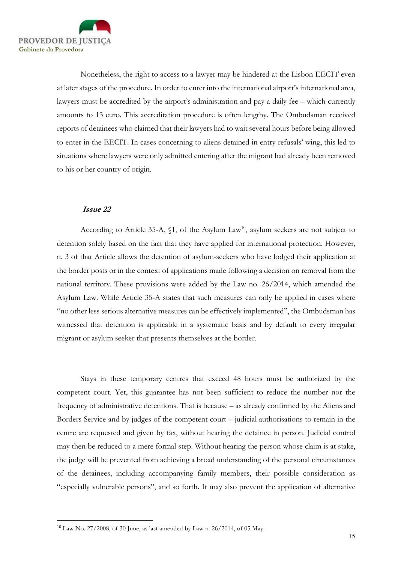

Nonetheless, the right to access to a lawyer may be hindered at the Lisbon EECIT even at later stages of the procedure. In order to enter into the international airport's international area, lawyers must be accredited by the airport's administration and pay a daily fee – which currently amounts to 13 euro. This accreditation procedure is often lengthy. The Ombudsman received reports of detainees who claimed that their lawyers had to wait several hours before being allowed to enter in the EECIT. In cases concerning to aliens detained in entry refusals' wing, this led to situations where lawyers were only admitted entering after the migrant had already been removed to his or her country of origin.

## Issue 22

According to Article 35-A,  $\S$ 1, of the Asylum Law<sup>10</sup>, asylum seekers are not subject to detention solely based on the fact that they have applied for international protection. However, n. 3 of that Article allows the detention of asylum-seekers who have lodged their application at the border posts or in the context of applications made following a decision on removal from the national territory. These provisions were added by the Law no. 26/2014, which amended the Asylum Law. While Article 35-A states that such measures can only be applied in cases where "no other less serious alternative measures can be effectively implemented", the Ombudsman has witnessed that detention is applicable in a systematic basis and by default to every irregular migrant or asylum seeker that presents themselves at the border.

Stays in these temporary centres that exceed 48 hours must be authorized by the competent court. Yet, this guarantee has not been sufficient to reduce the number nor the frequency of administrative detentions. That is because – as already confirmed by the Aliens and Borders Service and by judges of the competent court – judicial authorisations to remain in the centre are requested and given by fax, without hearing the detainee in person. Judicial control may then be reduced to a mere formal step. Without hearing the person whose claim is at stake, the judge will be prevented from achieving a broad understanding of the personal circumstances of the detainees, including accompanying family members, their possible consideration as "especially vulnerable persons", and so forth. It may also prevent the application of alternative

<sup>10</sup> Law No. 27/2008, of 30 June, as last amended by Law n. 26/2014, of 05 May.